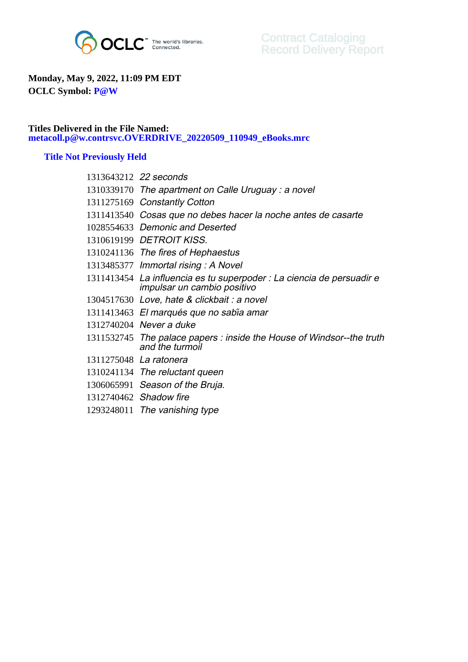

## **Monday, May 9, 2022, 11:09 PM EDT OCLC Symbol: P@W**

## **Titles Delivered in the File Named: metacoll.p@w.contrsvc.OVERDRIVE\_20220509\_110949\_eBooks.mrc**

## **Title Not Previously Held**

| 1313643212 22 seconds                                                                                |
|------------------------------------------------------------------------------------------------------|
| 1310339170 The apartment on Calle Uruguay: a novel                                                   |
| 1311275169 Constantly Cotton                                                                         |
| 1311413540 Cosas que no debes hacer la noche antes de casarte                                        |
| 1028554633 Demonic and Deserted                                                                      |
| 1310619199 DETROIT KISS.                                                                             |
| 1310241136 The fires of Hephaestus                                                                   |
| 1313485377 Immortal rising: A Novel                                                                  |
| 1311413454 La influencia es tu superpoder : La ciencia de persuadir e<br>impulsar un cambio positivo |
| 1304517630 Love, hate & clickbait : a novel                                                          |
| 1311413463 El marqués que no sabia amar                                                              |
| 1312740204 Never a duke                                                                              |
| 1311532745 The palace papers : inside the House of Windsor--the truth<br>and the turmoil             |
| 1311275048 La ratonera                                                                               |
| 1310241134 The reluctant queen                                                                       |
| 1306065991 Season of the Bruja.                                                                      |
| 1312740462 Shadow fire                                                                               |
| 1293248011 The vanishing type                                                                        |